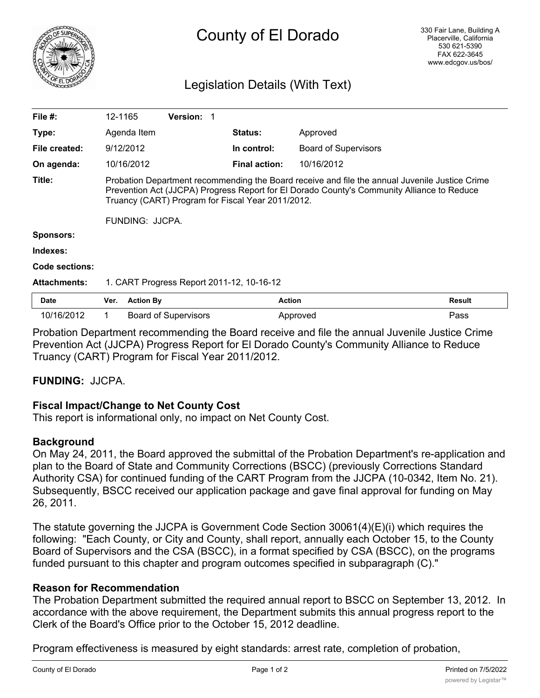

# County of El Dorado

# Legislation Details (With Text)

| File $#$ :          | 12-1165                                                                                                                                                                                                                                                              |                  | <b>Version: 1</b>           |  |                      |                             |               |
|---------------------|----------------------------------------------------------------------------------------------------------------------------------------------------------------------------------------------------------------------------------------------------------------------|------------------|-----------------------------|--|----------------------|-----------------------------|---------------|
| Type:               |                                                                                                                                                                                                                                                                      | Agenda Item      |                             |  | <b>Status:</b>       | Approved                    |               |
| File created:       |                                                                                                                                                                                                                                                                      | 9/12/2012        |                             |  | In control:          | <b>Board of Supervisors</b> |               |
| On agenda:          |                                                                                                                                                                                                                                                                      | 10/16/2012       |                             |  | <b>Final action:</b> | 10/16/2012                  |               |
| Title:              | Probation Department recommending the Board receive and file the annual Juvenile Justice Crime<br>Prevention Act (JJCPA) Progress Report for El Dorado County's Community Alliance to Reduce<br>Truancy (CART) Program for Fiscal Year 2011/2012.<br>FUNDING: JJCPA. |                  |                             |  |                      |                             |               |
| <b>Sponsors:</b>    |                                                                                                                                                                                                                                                                      |                  |                             |  |                      |                             |               |
| Indexes:            |                                                                                                                                                                                                                                                                      |                  |                             |  |                      |                             |               |
| Code sections:      |                                                                                                                                                                                                                                                                      |                  |                             |  |                      |                             |               |
| <b>Attachments:</b> | 1. CART Progress Report 2011-12, 10-16-12                                                                                                                                                                                                                            |                  |                             |  |                      |                             |               |
| <b>Date</b>         | Ver.                                                                                                                                                                                                                                                                 | <b>Action By</b> |                             |  | <b>Action</b>        |                             | <b>Result</b> |
| 10/16/2012          | 1.                                                                                                                                                                                                                                                                   |                  | <b>Board of Supervisors</b> |  |                      | Approved                    | Pass          |

Probation Department recommending the Board receive and file the annual Juvenile Justice Crime Prevention Act (JJCPA) Progress Report for El Dorado County's Community Alliance to Reduce Truancy (CART) Program for Fiscal Year 2011/2012.

# **FUNDING:** JJCPA.

# **Fiscal Impact/Change to Net County Cost**

This report is informational only, no impact on Net County Cost.

#### **Background**

On May 24, 2011, the Board approved the submittal of the Probation Department's re-application and plan to the Board of State and Community Corrections (BSCC) (previously Corrections Standard Authority CSA) for continued funding of the CART Program from the JJCPA (10-0342, Item No. 21). Subsequently, BSCC received our application package and gave final approval for funding on May 26, 2011.

The statute governing the JJCPA is Government Code Section 30061(4)(E)(i) which requires the following: "Each County, or City and County, shall report, annually each October 15, to the County Board of Supervisors and the CSA (BSCC), in a format specified by CSA (BSCC), on the programs funded pursuant to this chapter and program outcomes specified in subparagraph (C)."

#### **Reason for Recommendation**

The Probation Department submitted the required annual report to BSCC on September 13, 2012. In accordance with the above requirement, the Department submits this annual progress report to the Clerk of the Board's Office prior to the October 15, 2012 deadline.

Program effectiveness is measured by eight standards: arrest rate, completion of probation,